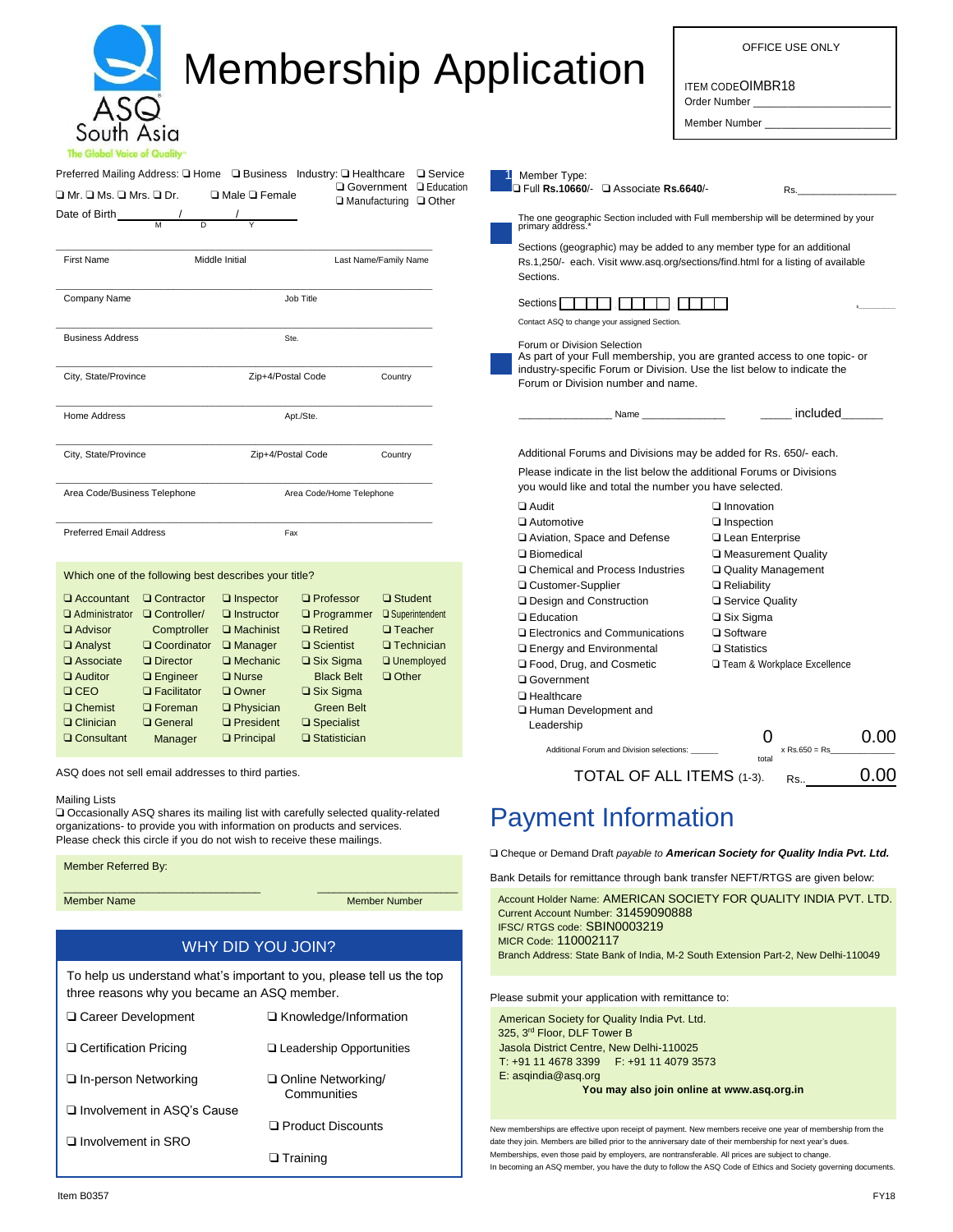| South Asia<br>The Global Voice of Quality"                                                                                                                                                                                                                                 | <b>Membership Application</b>                                                                                                                                                                                                                                                                                                                                                                                                                    |                                                                                                                                                                                                                          | OFFICE USE ONLY<br><b>ITEM CODEOIMBR18</b><br>Order Number<br>Member Number                                |  |
|----------------------------------------------------------------------------------------------------------------------------------------------------------------------------------------------------------------------------------------------------------------------------|--------------------------------------------------------------------------------------------------------------------------------------------------------------------------------------------------------------------------------------------------------------------------------------------------------------------------------------------------------------------------------------------------------------------------------------------------|--------------------------------------------------------------------------------------------------------------------------------------------------------------------------------------------------------------------------|------------------------------------------------------------------------------------------------------------|--|
| Preferred Mailing Address: Q Home Q Business Industry: Q Healthcare Q Service<br>□ Government □ Education<br>$\Box$ Mr. $\Box$ Ms. $\Box$ Mrs. $\Box$ Dr.<br>$\Box$ Male $\Box$ Female<br>$\Box$ Manufacturing $\Box$ Other                                                |                                                                                                                                                                                                                                                                                                                                                                                                                                                  | Member Type:<br>J Full Rs.10660/- Q Associate Rs.6640/-<br>Rs.                                                                                                                                                           |                                                                                                            |  |
| Date of Birth $\frac{1}{M}$                                                                                                                                                                                                                                                |                                                                                                                                                                                                                                                                                                                                                                                                                                                  | The one geographic Section included with Full membership will be determined by your primary address. <sup>*</sup>                                                                                                        |                                                                                                            |  |
| First Name<br>Middle Initial<br>Last Name/Family Name                                                                                                                                                                                                                      |                                                                                                                                                                                                                                                                                                                                                                                                                                                  | Sections (geographic) may be added to any member type for an additional<br>Rs.1,250/- each. Visit www.asq.org/sections/find.html for a listing of available<br>Sections.                                                 |                                                                                                            |  |
| Company Name                                                                                                                                                                                                                                                               | Job Title                                                                                                                                                                                                                                                                                                                                                                                                                                        | Sections        <br>Contact ASQ to change your assigned Section.                                                                                                                                                         |                                                                                                            |  |
| <b>Business Address</b><br>City, State/Province                                                                                                                                                                                                                            | Ste.<br>Zip+4/Postal Code<br>Country                                                                                                                                                                                                                                                                                                                                                                                                             | Forum or Division Selection<br>As part of your Full membership, you are granted access to one topic- or<br>industry-specific Forum or Division. Use the list below to indicate the<br>Forum or Division number and name. |                                                                                                            |  |
| Home Address                                                                                                                                                                                                                                                               | Apt./Ste.                                                                                                                                                                                                                                                                                                                                                                                                                                        | Name ___                                                                                                                                                                                                                 | included                                                                                                   |  |
|                                                                                                                                                                                                                                                                            |                                                                                                                                                                                                                                                                                                                                                                                                                                                  |                                                                                                                                                                                                                          | Additional Forums and Divisions may be added for Rs. 650/- each.                                           |  |
| City, State/Province                                                                                                                                                                                                                                                       | Zip+4/Postal Code<br>Country                                                                                                                                                                                                                                                                                                                                                                                                                     |                                                                                                                                                                                                                          | Please indicate in the list below the additional Forums or Divisions                                       |  |
| Area Code/Business Telephone                                                                                                                                                                                                                                               | Area Code/Home Telephone                                                                                                                                                                                                                                                                                                                                                                                                                         | you would like and total the number you have selected.<br>$\Box$ Audit                                                                                                                                                   | Innovation                                                                                                 |  |
| <b>Preferred Email Address</b>                                                                                                                                                                                                                                             | Fax                                                                                                                                                                                                                                                                                                                                                                                                                                              | □ Automotive<br>Aviation, Space and Defense<br>□ Biomedical                                                                                                                                                              | □ Inspection<br>Lean Enterprise<br>□ Measurement Quality                                                   |  |
| Which one of the following best describes your title?                                                                                                                                                                                                                      |                                                                                                                                                                                                                                                                                                                                                                                                                                                  | □ Chemical and Process Industries<br>□ Customer-Supplier                                                                                                                                                                 | Quality Management<br>$\Box$ Reliability                                                                   |  |
| $\Box$ Accountant $\Box$ Contractor<br>□ Administrator □ Controller/<br><b>Q</b> Advisor<br>Comptroller<br>$\Box$ Analyst<br>$\Box$ Associate<br>$\Box$ Director<br>$\Box$ Auditor<br>$\Box$ Engineer<br>CEO<br>$\Box$ Facilitator<br><b>Q</b> Chemist<br><b>Q</b> Foreman | <b>Q</b> Professor<br>□ Student<br>$\Box$ Inspector<br>$\Box$ Instructor<br>□ Superintendent<br>$\Box$ Programmer<br>$\Box$ Machinist<br>$\Box$ Retired<br>$\Box$ Teacher<br>$\Box$ Coordinator $\Box$ Manager<br>□ Scientist<br>$\Box$ Technician<br>$\Box$ Six Sigma<br><b>Q</b> Unemployed<br>$\Box$ Mechanic<br>$\Box$ Other<br>$\square$ Nurse<br><b>Black Belt</b><br>$\Box$ Six Sigma<br>Q Owner<br>$\Box$ Physician<br><b>Green Belt</b> | □ Design and Construction<br><b>Q</b> Education<br><b>Q</b> Electronics and Communications<br><b>Q</b> Energy and Environmental<br>□ Food, Drug, and Cosmetic<br>Q Government<br>□ Healthcare                            | □ Service Quality<br>$\square$ Six Sigma<br>□ Software<br>$\Box$ Statistics<br>Team & Workplace Excellence |  |
| $\Box$ Clinician<br>□ General                                                                                                                                                                                                                                              | $\Box$ President<br>$\square$ Specialist                                                                                                                                                                                                                                                                                                                                                                                                         | □ Human Development and<br>Leadership                                                                                                                                                                                    |                                                                                                            |  |
| □ Consultant<br>Manager                                                                                                                                                                                                                                                    | □ Statistician<br>$\Box$ Principal                                                                                                                                                                                                                                                                                                                                                                                                               | Additional Forum and Division selections:                                                                                                                                                                                | 0<br>0.00<br>$x$ Rs.650 = Rs<br>total                                                                      |  |
| ASQ does not sell email addresses to third parties.                                                                                                                                                                                                                        |                                                                                                                                                                                                                                                                                                                                                                                                                                                  | TOTAL OF ALL ITEMS (1-3).                                                                                                                                                                                                | 0.00<br>Rs                                                                                                 |  |
| <b>Mailing Lists</b>                                                                                                                                                                                                                                                       | □ Occasionally ASQ shares its mailing list with carefully selected quality-related<br>organizations- to provide you with information on products and services.                                                                                                                                                                                                                                                                                   | <b>Payment Information</b>                                                                                                                                                                                               |                                                                                                            |  |
|                                                                                                                                                                                                                                                                            | Please check this circle if you do not wish to receive these mailings.                                                                                                                                                                                                                                                                                                                                                                           |                                                                                                                                                                                                                          | □ Cheque or Demand Draft payable to American Society for Quality India Pvt. Ltd.                           |  |
| Member Referred By:                                                                                                                                                                                                                                                        |                                                                                                                                                                                                                                                                                                                                                                                                                                                  |                                                                                                                                                                                                                          | Bank Details for remittance through bank transfer NEFT/RTGS are given below:                               |  |
| <b>Member Name</b>                                                                                                                                                                                                                                                         | <b>Member Number</b>                                                                                                                                                                                                                                                                                                                                                                                                                             | Current Account Number: 31459090888                                                                                                                                                                                      | Account Holder Name: AMERICAN SOCIETY FOR QUALITY INDIA PVT. LTD.                                          |  |
|                                                                                                                                                                                                                                                                            | WHY DID YOU JOIN?                                                                                                                                                                                                                                                                                                                                                                                                                                | IFSC/RTGS code: SBIN0003219<br>MICR Code: 110002117                                                                                                                                                                      | Branch Address: State Bank of India, M-2 South Extension Part-2, New Delhi-110049                          |  |
| three reasons why you became an ASQ member.                                                                                                                                                                                                                                | To help us understand what's important to you, please tell us the top                                                                                                                                                                                                                                                                                                                                                                            | Please submit your application with remittance to:                                                                                                                                                                       |                                                                                                            |  |
| □ Career Development                                                                                                                                                                                                                                                       | □ Knowledge/Information                                                                                                                                                                                                                                                                                                                                                                                                                          | American Society for Quality India Pvt. Ltd.<br>325, 3rd Floor, DLF Tower B                                                                                                                                              |                                                                                                            |  |
| □ Certification Pricing                                                                                                                                                                                                                                                    | □ Leadership Opportunities                                                                                                                                                                                                                                                                                                                                                                                                                       | Jasola District Centre, New Delhi-110025<br>T: +91 11 4678 3399   F: +91 11 4079 3573                                                                                                                                    |                                                                                                            |  |
| □ In-person Networking                                                                                                                                                                                                                                                     | Online Networking/                                                                                                                                                                                                                                                                                                                                                                                                                               | $E:$ asgindia@asg.org                                                                                                                                                                                                    |                                                                                                            |  |

#### **You may also join online at www.asq.org.in**

New memberships are effective upon receipt of payment. New members receive one year of membership from the date they join. Members are billed prior to the anniversary date of their membership for next year's dues. Memberships, even those paid by employers, are nontransferable. All prices are subject to change. In becoming an ASQ member, you have the duty to follow the ASQ Code of Ethics and Society governing documents.

❑ Involvement in ASQ's Cause

❑ Involvement in SRO

**Communities** 

❑ Product Discounts

❑ Training